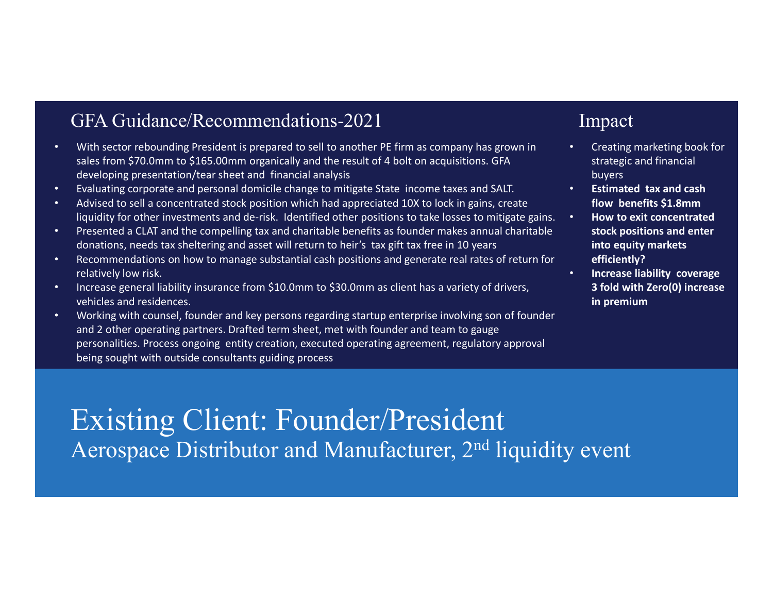## GFA Guidance/Recommendations-2021 Impact

- • With sector rebounding President is prepared to sell to another PE firm as company has grown in sales from \$70.0mm to \$165.00mm organically and the result of 4 bolt on acquisitions. GFA developing presentation/tear sheet and financial analysis
- Evaluating corporate and personal domicile change to mitigate State income taxes and SALT.
- Advised to sell <sup>a</sup> concentrated stock position which had appreciated 10X to lock in gains, create liquidity for other investments and de-risk. Identified other positions to take losses to mitigate gains.
- Presented <sup>a</sup> CLAT and the compelling tax and charitable benefits as founder makes annual charitable donations, needs tax sheltering and asset will return to heir's tax gift tax free in 10 years
- Recommendations on how to manage substantial cash positions and generate real rates of return for relatively low risk.
- •• Increase general liability insurance from \$10.0mm to \$30.0mm as client has a variety of drivers, vehicles and residences.
- Working with counsel, founder and key persons regarding startup enterprise involving son of founder and 2 other operating partners. Drafted term sheet, met with founder and team to gauge personalities. Process ongoing entity creation, executed operating agreement, regulatory approval being sought with outside consultants guiding process

•

•

- • Creating marketing book for strategic and financial **buyers**
- • **Estimated tax and cash flow benefits \$1.8mm**
- **How to exit concentrated stock positions and enter into equity markets efficiently?**
- **Increase liability coverage 3 fold with Zero(0) increase in premium**

Existing Client: Founder/President Aerospace Distributor and Manufacturer, 2nd liquidity event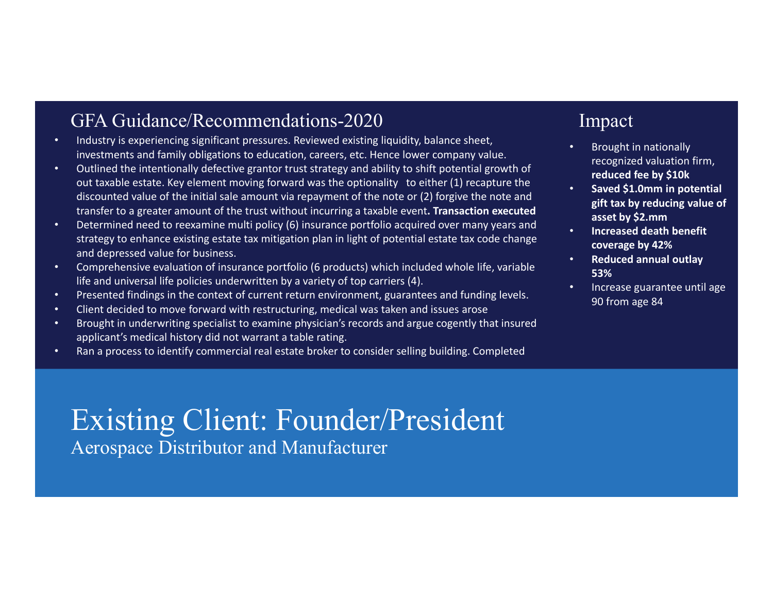## GFA Guidance/Recommendations-2020 Impact

- Industry is experiencing significant pressures. Reviewed existing liquidity, balance sheet, investments and family obligations to education, careers, etc. Hence lower company value.
- Outlined the intentionally defective grantor trust strategy and ability to shift potential growth of out taxable estate. Key element moving forward was the optionality to either (1) recapture the discounted value of the initial sale amount via repayment of the note or (2) forgive the note and transfer to <sup>a</sup> greater amount of the trust without incurring <sup>a</sup> taxable event**. Transaction executed**
- Determined need to reexamine multi policy (6) insurance portfolio acquired over many years and strategy to enhance existing estate tax mitigation plan in light of potential estate tax code change and depressed value for business.
- Comprehensive evaluation of insurance portfolio (6 products) which included whole life, variable life and universal life policies underwritten by <sup>a</sup> variety of top carriers (4).
- Presented findings in the context of current return environment, guarantees and funding levels.
- Client decided to move forward with restructuring, medical was taken and issues arose
- • Brought in underwriting specialist to examine physician's records and argue cogently that insured applicant's medical history did not warrant <sup>a</sup> table rating.
- •Ran <sup>a</sup> process to identify commercial real estate broker to consider selling building. Completed

- • Brought in nationally recognized valuation firm, **reduced fee by \$10k**
- • **Saved \$1.0mm in potential gift tax by reducing value of asset by \$2.mm**
- • **Increased death benefit coverage by 42%**
- • **Reduced annual outlay 53%**
- •• Increase guarantee until age 90 from age 84

Existing Client: Founder/President Aerospace Distributor and Manufacturer